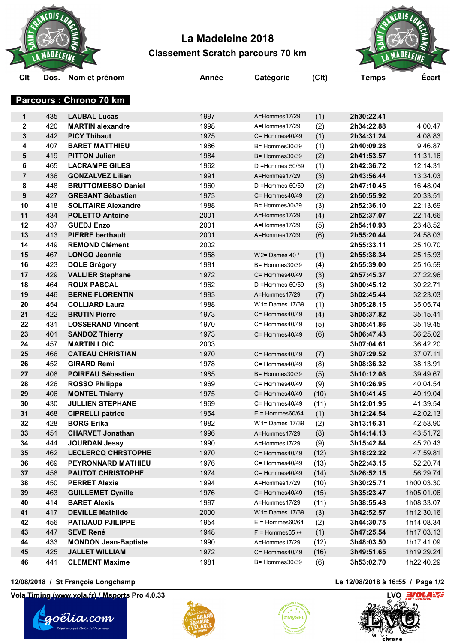

## **La Madeleine 2018 Classement Scratch parcours 70 km**



|             |            | <b>Parcours: Chrono 70 km</b>                 |              |                                        |            |                          |                      |
|-------------|------------|-----------------------------------------------|--------------|----------------------------------------|------------|--------------------------|----------------------|
|             |            |                                               |              |                                        |            |                          |                      |
| 1           | 435        | <b>LAUBAL Lucas</b>                           | 1997         | A=Hommes17/29                          | (1)        | 2h30:22.41               |                      |
| $\mathbf 2$ | 420        | <b>MARTIN alexandre</b>                       | 1998         | A=Hommes17/29                          | (2)        | 2h34:22.88               | 4:00.47              |
| 3           | 442        | <b>PICY Thibaut</b>                           | 1975         | $C =$ Hommes $40/49$                   | (1)        | 2h34:31.24               | 4:08.83              |
| 4           | 407        | <b>BARET MATTHIEU</b>                         | 1986         | B= Hommes30/39                         | (1)        | 2h40:09.28               | 9:46.87              |
| 5           | 419        | <b>PITTON Julien</b>                          | 1984         | B= Hommes30/39                         | (2)        | 2h41:53.57               | 11:31.16             |
| 6           | 465        | <b>LACRAMPE GILES</b>                         | 1962         | $D =$ Hommes $50/59$                   | (1)        | 2h42:36.72               | 12:14.31             |
| 7           | 436        | <b>GONZALVEZ Lilian</b>                       | 1991         | A=Hommes17/29                          | (3)        | 2h43:56.44               | 13:34.03             |
| 8           | 448        | <b>BRUTTOMESSO Daniel</b>                     | 1960         | $D =$ Hommes 50/59                     | (2)        | 2h47:10.45               | 16:48.04             |
| 9           | 427        | <b>GRESANT Sébastien</b>                      | 1973         | $C =$ Hommes $40/49$                   | (2)        | 2h50:55.92               | 20:33.51             |
| 10          | 418        | <b>SOLITAIRE Alexandre</b>                    | 1988         | $B =$ Hommes 30/39                     | (3)        | 2h52:36.10               | 22:13.69             |
| 11          | 434        | <b>POLETTO Antoine</b>                        | 2001         | A=Hommes17/29                          | (4)        | 2h52:37.07               | 22:14.66             |
| 12          | 437        | <b>GUEDJ Enzo</b>                             | 2001         | A=Hommes17/29                          | (5)        | 2h54:10.93               | 23:48.52             |
| 13          | 413        | <b>PIERRE berthault</b>                       | 2001         | A=Hommes17/29                          | (6)        | 2h55:20.44               | 24:58.03             |
| 14          | 449        | <b>REMOND Clément</b>                         | 2002         |                                        |            | 2h55:33.11               | 25:10.70             |
| 15          | 467        | <b>LONGO Jeannie</b>                          | 1958         | $W2 =$ Dames 40 / $+$                  | (1)        | 2h55:38.34               | 25:15.93             |
| 16          | 423        | <b>DOLE Grégory</b>                           | 1981         | B= Hommes30/39                         | (4)        | 2h55:39.00               | 25:16.59             |
| 17          | 429        | <b>VALLIER Stephane</b>                       | 1972         | $C =$ Hommes $40/49$                   | (3)        | 2h57:45.37               | 27:22.96             |
| 18          | 464        | <b>ROUX PASCAL</b>                            | 1962         | $D =$ Hommes $50/59$                   | (3)        | 3h00:45.12               | 30:22.71             |
| 19          | 446        | <b>BERNE FLORENTIN</b>                        | 1993         | A=Hommes17/29                          | (7)        | 3h02:45.44               | 32:23.03             |
| 20          | 454        | <b>COLLIARD Laura</b>                         | 1988         | W1= Dames 17/39                        | (1)        | 3h05:28.15               | 35:05.74             |
| 21          | 422        | <b>BRUTIN Pierre</b>                          | 1973         | $C =$ Hommes $40/49$                   | (4)        | 3h05:37.82               | 35:15.41             |
| 22<br>23    | 431<br>401 | <b>LOSSERAND Vincent</b>                      | 1970<br>1973 | $C =$ Hommes $40/49$<br>C= Hommes40/49 | (5)        | 3h05:41.86               | 35:19.45             |
| 24          | 457        | <b>SANDOZ Thierry</b><br><b>MARTIN LOIC</b>   | 2003         |                                        | (6)        | 3h06:47.43<br>3h07:04.61 | 36:25.02<br>36:42.20 |
| 25          | 466        |                                               | 1970         | C= Hommes40/49                         |            |                          |                      |
| 26          | 452        | <b>CATEAU CHRISTIAN</b><br><b>GIRARD Remi</b> | 1978         | $C =$ Hommes $40/49$                   | (7)<br>(8) | 3h07:29.52<br>3h08:36.32 | 37:07.11<br>38:13.91 |
| 27          | 408        | <b>POIREAU Sébastien</b>                      | 1985         | B= Hommes30/39                         | (5)        | 3h10:12.08               | 39:49.67             |
| 28          | 426        | <b>ROSSO Philippe</b>                         | 1969         | $C =$ Hommes $40/49$                   | (9)        | 3h10:26.95               | 40:04.54             |
| 29          | 406        | <b>MONTEL Thierry</b>                         | 1975         | $C =$ Hommes $40/49$                   | (10)       | 3h10:41.45               | 40:19.04             |
| 30          | 430        | <b>JULLIEN STEPHANE</b>                       | 1969         | C= Hommes40/49                         | (11)       | 3h12:01.95               | 41:39.54             |
| 31          | 468        | <b>CIPRELLI patrice</b>                       | 1954         | $E =$ Hommes60/64                      | (1)        | 3h12:24.54               | 42:02.13             |
| 32          | 428        | <b>BORG Erika</b>                             | 1982         | W1= Dames 17/39                        | (2)        | 3h13:16.31               | 42:53.90             |
| 33          | 451        | <b>CHARVET Jonathan</b>                       | 1996         | A=Hommes17/29                          | (8)        | 3h14:14.13               | 43:51.72             |
| 34          | 444        | <b>JOURDAN Jessy</b>                          | 1990         | A=Hommes17/29                          | (9)        | 3h15:42.84               | 45:20.43             |
| 35          | 462        | <b>LECLERCQ CHRSTOPHE</b>                     | 1970         | C= Hommes40/49                         | (12)       | 3h18:22.22               | 47:59.81             |
| 36          | 469        | PEYRONNARD MATHIEU                            | 1976         | C= Hommes40/49                         | (13)       | 3h22:43.15               | 52:20.74             |
| 37          | 458        | <b>PAUTOT CHRISTOPHE</b>                      | 1974         | C= Hommes40/49                         | (14)       | 3h26:52.15               | 56:29.74             |
| 38          | 450        | <b>PERRET Alexis</b>                          | 1994         | A=Hommes17/29                          | (10)       | 3h30:25.71               | 1h00:03.30           |
| 39          | 463        | <b>GUILLEMET Cynille</b>                      | 1976         | C= Hommes40/49                         | (15)       | 3h35:23.47               | 1h05:01.06           |
| 40          | 414        | <b>BARET Alexis</b>                           | 1997         | A=Hommes17/29                          | (11)       | 3h38:55.48               | 1h08:33.07           |
| 41          | 417        | <b>DEVILLE Mathilde</b>                       | 2000         | $W1 =$ Dames 17/39                     | (3)        | 3h42:52.57               | 1h12:30.16           |
| 42          | 456        | <b>PATIJAUD PJILIPPE</b>                      | 1954         | $E =$ Hommes60/64                      | (2)        | 3h44:30.75               | 1h14:08.34           |
| 43          | 447        | <b>SEVE René</b>                              | 1948         | $F =$ Hommes 65 /+                     | (1)        | 3h47:25.54               | 1h17:03.13           |
| 44          | 433        | <b>MONDON Jean-Baptiste</b>                   | 1990         | A=Hommes17/29                          | (12)       | 3h48:03.50               | 1h17:41.09           |
| 45          | 425        | <b>JALLET WILLIAM</b>                         | 1972         | C= Hommes40/49                         | (16)       | 3h49:51.65               | 1h19:29.24           |
| 46          | 441        | <b>CLEMENT Maxime</b>                         | 1981         | B= Hommes30/39                         | (6)        | 3h53:02.70               | 1h22:40.29           |
|             |            |                                               |              |                                        |            |                          |                      |

### **12/08/2018 / St François Longchamp Le 12/08/2018 à 16:55 / Page 1/2**

**Vola Timing (www.vola.fr) / Msports Pro 4.0.33 LVO LVO LVO LVO**